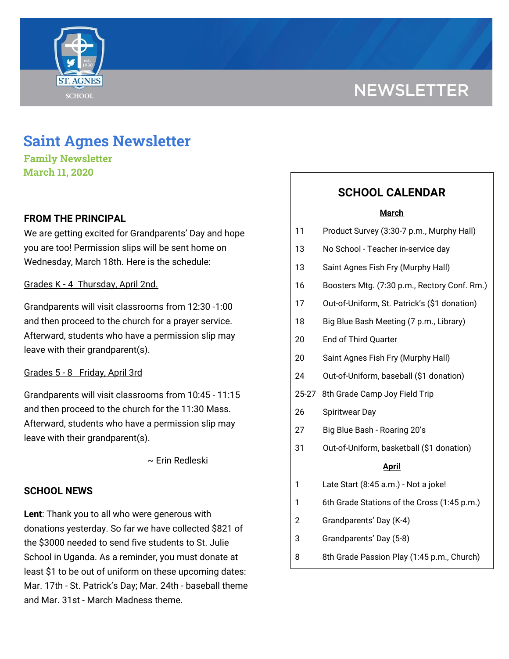# **NEWSLETTER**



# **Saint Agnes Newsletter**

**Family Newsletter March 11, 2020**

## **FROM THE PRINCIPAL**

We are getting excited for Grandparents' Day and hope you are too! Permission slips will be sent home on Wednesday, March 18th. Here is the schedule:

### Grades K - 4 Thursday, April 2nd.

Grandparents will visit classrooms from 12:30 -1:00 and then proceed to the church for a prayer service. Afterward, students who have a permission slip may leave with their grandparent(s).

#### Grades 5 - 8 Friday, April 3rd

Grandparents will visit classrooms from 10:45 - 11:15 and then proceed to the church for the 11:30 Mass. Afterward, students who have a permission slip may leave with their grandparent(s).

~ Erin Redleski

### **SCHOOL NEWS**

**Lent**: Thank you to all who were generous with donations yesterday. So far we have collected \$821 of the \$3000 needed to send five students to St. Julie School in Uganda. As a reminder, you must donate at least \$1 to be out of uniform on these upcoming dates: Mar. 17th - St. Patrick's Day; Mar. 24th - baseball theme and Mar. 31st - March Madness theme.

# **SCHOOL CALENDAR**

#### **March**

- 11 Product Survey (3:30-7 p.m., Murphy Hall)
- 13 No School Teacher in-service day
- 13 Saint Agnes Fish Fry (Murphy Hall)
- 16 Boosters Mtg. (7:30 p.m., Rectory Conf. Rm.)
- 17 Out-of-Uniform, St. Patrick's (\$1 donation)
- 18 Big Blue Bash Meeting (7 p.m., Library)
- 20 End of Third Quarter
- 20 Saint Agnes Fish Fry (Murphy Hall)
- 24 Out-of-Uniform, baseball (\$1 donation)
- 25-27 8th Grade Camp Joy Field Trip
- 26 Spiritwear Day
- 27 Big Blue Bash Roaring 20's
- 31 Out-of-Uniform, basketball (\$1 donation)

#### **April**

- 1 Late Start (8:45 a.m.) Not a joke!
- 1 6th Grade Stations of the Cross (1:45 p.m.)
- 2 Grandparents' Day (K-4)
- 3 Grandparents' Day (5-8)
- 8 8th Grade Passion Play (1:45 p.m., Church)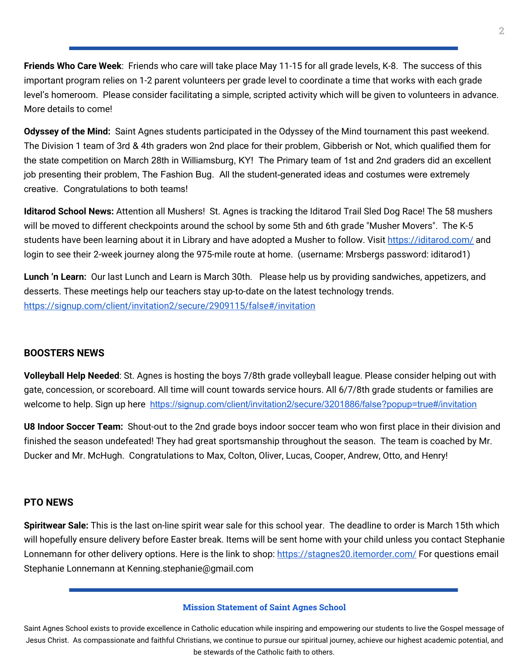**Friends Who Care Week**: Friends who care will take place May 11-15 for all grade levels, K-8. The success of this important program relies on 1-2 parent volunteers per grade level to coordinate a time that works with each grade level's homeroom. Please consider facilitating a simple, scripted activity which will be given to volunteers in advance. More details to come!

**Odyssey of the Mind:** Saint Agnes students participated in the Odyssey of the Mind tournament this past weekend. The Division 1 team of 3rd & 4th graders won 2nd place for their problem, Gibberish or Not, which qualified them for the state competition on March 28th in Williamsburg, KY! The Primary team of 1st and 2nd graders did an excellent job presenting their problem, The Fashion Bug. All the student-generated ideas and costumes were extremely creative. Congratulations to both teams!

**Iditarod School News:** Attention all Mushers! St. Agnes is tracking the Iditarod Trail Sled Dog Race! The 58 mushers will be moved to different checkpoints around the school by some 5th and 6th grade "Musher Movers". The K-5 students have been learning about it in Library and have adopted a Musher to follow. Visit <https://iditarod.com/> and login to see their 2-week journey along the 975-mile route at home. (username: Mrsbergs password: iditarod1)

**Lunch 'n Learn:** Our last Lunch and Learn is March 30th. Please help us by providing sandwiches, appetizers, and desserts. These meetings help our teachers stay up-to-date on the latest technology trends. <https://signup.com/client/invitation2/secure/2909115/false#/invitation>

#### **BOOSTERS NEWS**

**Volleyball Help Needed**: St. Agnes is hosting the boys 7/8th grade volleyball league. Please consider helping out with gate, concession, or scoreboard. All time will count towards service hours. All 6/7/8th grade students or families are welcome to help. Sign up here <https://signup.com/client/invitation2/secure/3201886/false?popup=true#/invitation>

**U8 Indoor Soccer Team:** Shout-out to the 2nd grade boys indoor soccer team who won first place in their division and finished the season undefeated! They had great sportsmanship throughout the season. The team is coached by Mr. Ducker and Mr. McHugh. Congratulations to Max, Colton, Oliver, Lucas, Cooper, Andrew, Otto, and Henry!

#### **PTO NEWS**

**Spiritwear Sale:** This is the last on-line spirit wear sale for this school year. The deadline to order is March 15th which will hopefully ensure delivery before Easter break. Items will be sent home with your child unless you contact Stephanie Lonnemann for other delivery options. Here is the link to shop: <https://stagnes20.itemorder.com/> For questions email Stephanie Lonnemann at Kenning.stephanie@gmail.com

#### **Mission Statement of Saint Agnes School**

Saint Agnes School exists to provide excellence in Catholic education while inspiring and empowering our students to live the Gospel message of Jesus Christ. As compassionate and faithful Christians, we continue to pursue our spiritual journey, achieve our highest academic potential, and be stewards of the Catholic faith to others.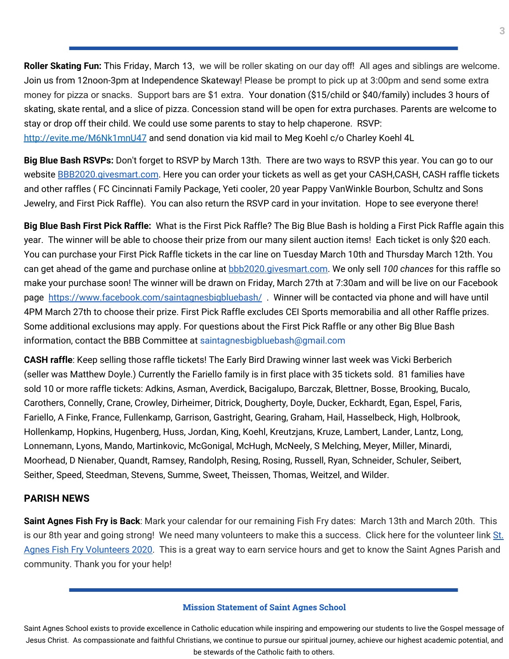**Roller Skating Fun:** This Friday, March 13, we will be roller skating on our day off! All ages and siblings are welcome. Join us from 12noon-3pm at Independence Skateway! Please be prompt to pick up at 3:00pm and send some extra money for pizza or snacks. Support bars are \$1 extra. Your donation (\$15/child or \$40/family) includes 3 hours of skating, skate rental, and a slice of pizza. Concession stand will be open for extra purchases. Parents are welcome to stay or drop off their child. We could use some parents to stay to help chaperone. RSVP: <http://evite.me/M6Nk1mnU47> and send donation via kid mail to Meg Koehl c/o Charley Koehl 4L

**Big Blue Bash RSVPs:** Don't forget to RSVP by March 13th. There are two ways to RSVP this year. You can go to our website [BBB2020.givesmart.com](http://bbb2020.givesmart.com/). Here you can order your tickets as well as get your CASH,CASH, CASH raffle tickets and other raffles ( FC Cincinnati Family Package, Yeti cooler, 20 year Pappy VanWinkle Bourbon, Schultz and Sons Jewelry, and First Pick Raffle). You can also return the RSVP card in your invitation. Hope to see everyone there!

**Big Blue Bash First Pick Raffle:** What is the First Pick Raffle? The Big Blue Bash is holding a First Pick Raffle again this year. The winner will be able to choose their prize from our many silent auction items! Each ticket is only \$20 each. You can purchase your First Pick Raffle tickets in the car line on Tuesday March 10th and Thursday March 12th. You can get ahead of the game and purchase online at [bbb2020.givesmart.com](http://bbb2020.givesmart.com/). We only sell *100 chances* for this raffle so make your purchase soon! The winner will be drawn on Friday, March 27th at 7:30am and will be live on our Facebook page [https://www.facebook.com/saintagnesbigbluebash/](http://go.sparkpostmail.com/f/a/hWaleeWxBFB4sTA2JDyjEA~~/AABDuQA~/RgRckncbP0QvaHR0cHM6Ly93d3cuZmFjZWJvb2suY29tL3NhaW50YWduZXNiaWdibHVlYmFzaC9XA3NwY1gEAAAAAEIKAAEc8q9azlrtZVIYamVubmZhcmllbGxvQGhvdG1haWwuY29t) . Winner will be contacted via phone and will have until 4PM March 27th to choose their prize. First Pick Raffle excludes CEI Sports memorabilia and all other Raffle prizes. Some additional exclusions may apply. For questions about the First Pick Raffle or any other Big Blue Bash information, contact the BBB Committee at saintagnesbigbluebash@gmail.com

**CASH raffle**: Keep selling those raffle tickets! The Early Bird Drawing winner last week was Vicki Berberich (seller was Matthew Doyle.) Currently the Fariello family is in first place with 35 tickets sold. 81 families have sold 10 or more raffle tickets: Adkins, Asman, Averdick, Bacigalupo, Barczak, Blettner, Bosse, Brooking, Bucalo, Carothers, Connelly, Crane, Crowley, Dirheimer, Ditrick, Dougherty, Doyle, Ducker, Eckhardt, Egan, Espel, Faris, Fariello, A Finke, France, Fullenkamp, Garrison, Gastright, Gearing, Graham, Hail, Hasselbeck, High, Holbrook, Hollenkamp, Hopkins, Hugenberg, Huss, Jordan, King, Koehl, Kreutzjans, Kruze, Lambert, Lander, Lantz, Long, Lonnemann, Lyons, Mando, Martinkovic, McGonigal, McHugh, McNeely, S Melching, Meyer, Miller, Minardi, Moorhead, D Nienaber, Quandt, Ramsey, Randolph, Resing, Rosing, Russell, Ryan, Schneider, Schuler, Seibert, Seither, Speed, Steedman, Stevens, Summe, Sweet, Theissen, Thomas, Weitzel, and Wilder.

#### **PARISH NEWS**

**Saint Agnes Fish Fry is Back**: Mark your calendar for our remaining Fish Fry dates: March 13th and March 20th. This is our 8th year and going strong! We need many volunteers to make this a success. Click here for the volunteer link [St.](https://signup.com/go/GNYQiEQ) Agnes Fish Fry [Volunteers](https://signup.com/go/GNYQiEQ) 2020. This is a great way to earn service hours and get to know the Saint Agnes Parish and community. Thank you for your help!

#### **Mission Statement of Saint Agnes School**

Saint Agnes School exists to provide excellence in Catholic education while inspiring and empowering our students to live the Gospel message of Jesus Christ. As compassionate and faithful Christians, we continue to pursue our spiritual journey, achieve our highest academic potential, and be stewards of the Catholic faith to others.